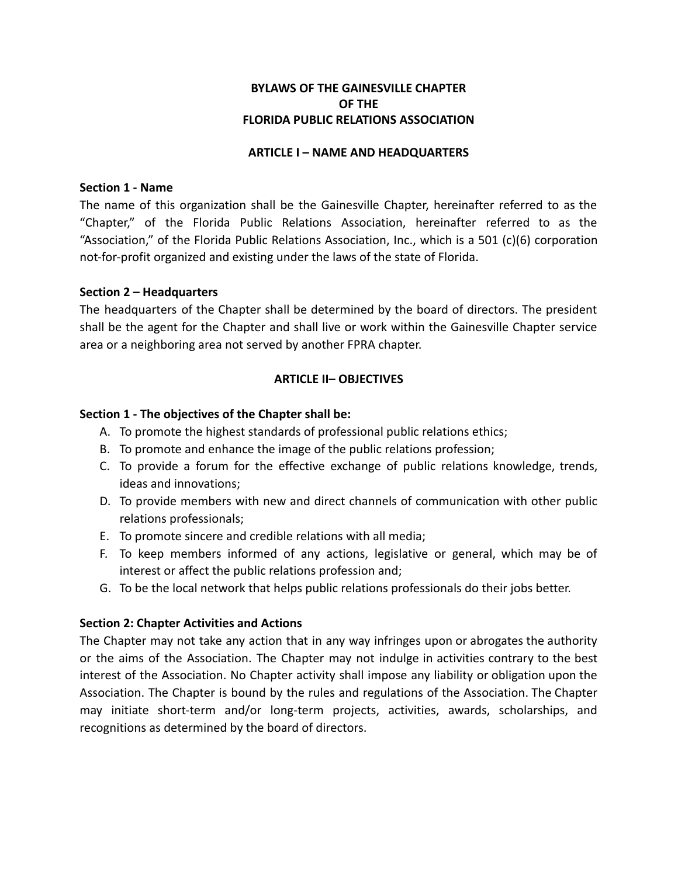# **BYLAWS OF THE GAINESVILLE CHAPTER OF THE FLORIDA PUBLIC RELATIONS ASSOCIATION**

#### **ARTICLE I – NAME AND HEADQUARTERS**

#### **Section 1 - Name**

The name of this organization shall be the Gainesville Chapter, hereinafter referred to as the "Chapter," of the Florida Public Relations Association, hereinafter referred to as the "Association," of the Florida Public Relations Association, Inc., which is a 501 (c)(6) corporation not-for-profit organized and existing under the laws of the state of Florida.

## **Section 2 – Headquarters**

The headquarters of the Chapter shall be determined by the board of directors. The president shall be the agent for the Chapter and shall live or work within the Gainesville Chapter service area or a neighboring area not served by another FPRA chapter.

## **ARTICLE II– OBJECTIVES**

## **Section 1 - The objectives of the Chapter shall be:**

- A. To promote the highest standards of professional public relations ethics;
- B. To promote and enhance the image of the public relations profession;
- C. To provide a forum for the effective exchange of public relations knowledge, trends, ideas and innovations;
- D. To provide members with new and direct channels of communication with other public relations professionals;
- E. To promote sincere and credible relations with all media;
- F. To keep members informed of any actions, legislative or general, which may be of interest or affect the public relations profession and;
- G. To be the local network that helps public relations professionals do their jobs better.

## **Section 2: Chapter Activities and Actions**

The Chapter may not take any action that in any way infringes upon or abrogates the authority or the aims of the Association. The Chapter may not indulge in activities contrary to the best interest of the Association. No Chapter activity shall impose any liability or obligation upon the Association. The Chapter is bound by the rules and regulations of the Association. The Chapter may initiate short-term and/or long-term projects, activities, awards, scholarships, and recognitions as determined by the board of directors.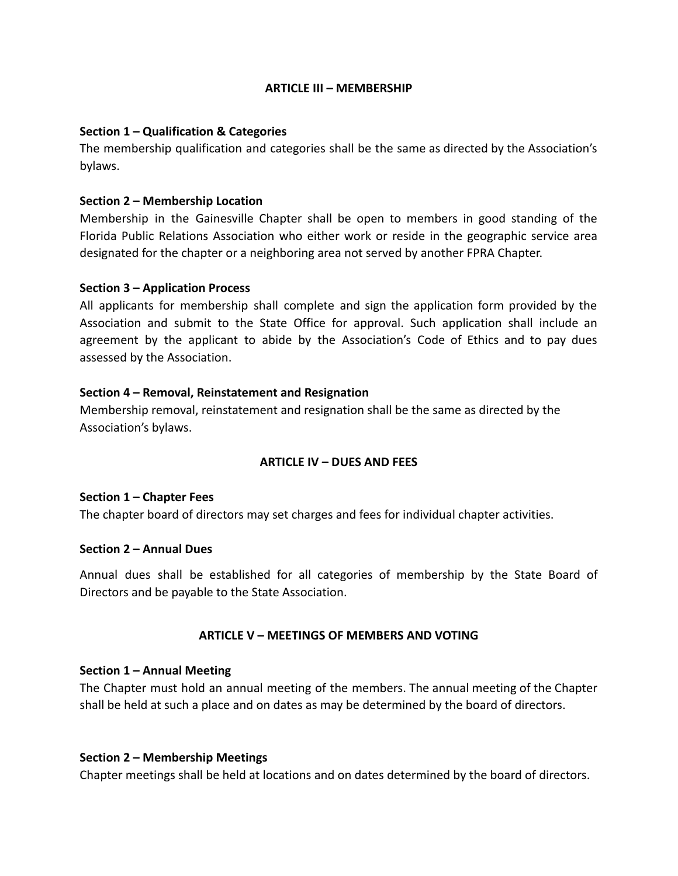#### **ARTICLE III – MEMBERSHIP**

#### **Section 1 – Qualification & Categories**

The membership qualification and categories shall be the same as directed by the Association's bylaws.

#### **Section 2 – Membership Location**

Membership in the Gainesville Chapter shall be open to members in good standing of the Florida Public Relations Association who either work or reside in the geographic service area designated for the chapter or a neighboring area not served by another FPRA Chapter.

#### **Section 3 – Application Process**

All applicants for membership shall complete and sign the application form provided by the Association and submit to the State Office for approval. Such application shall include an agreement by the applicant to abide by the Association's Code of Ethics and to pay dues assessed by the Association.

## **Section 4 – Removal, Reinstatement and Resignation**

Membership removal, reinstatement and resignation shall be the same as directed by the Association's bylaws.

## **ARTICLE IV – DUES AND FEES**

#### **Section 1 – Chapter Fees**

The chapter board of directors may set charges and fees for individual chapter activities.

#### **Section 2 – Annual Dues**

Annual dues shall be established for all categories of membership by the State Board of Directors and be payable to the State Association.

## **ARTICLE V – MEETINGS OF MEMBERS AND VOTING**

#### **Section 1 – Annual Meeting**

The Chapter must hold an annual meeting of the members. The annual meeting of the Chapter shall be held at such a place and on dates as may be determined by the board of directors.

#### **Section 2 – Membership Meetings**

Chapter meetings shall be held at locations and on dates determined by the board of directors.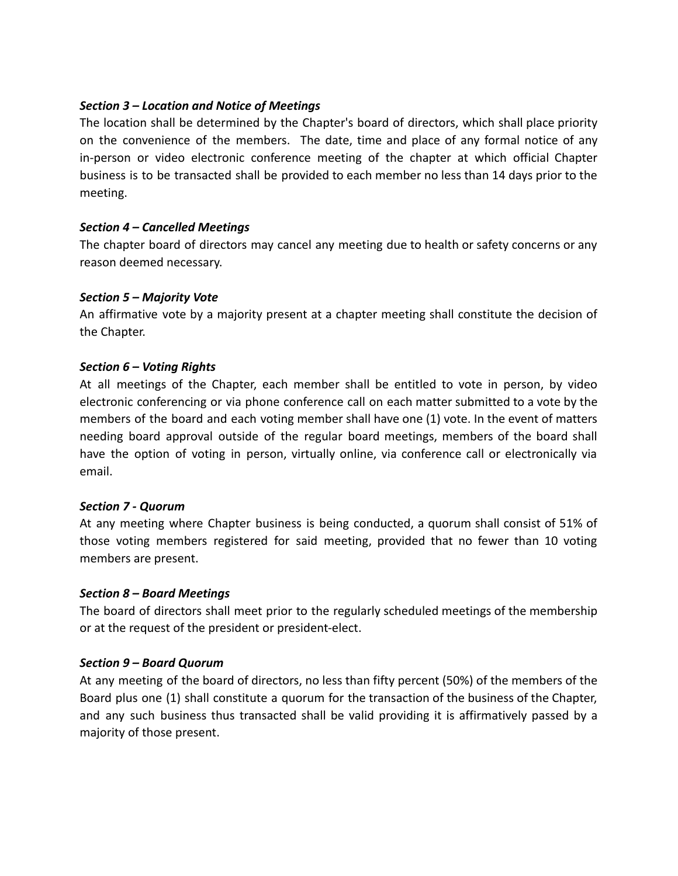## *Section 3 – Location and Notice of Meetings*

The location shall be determined by the Chapter's board of directors, which shall place priority on the convenience of the members. The date, time and place of any formal notice of any in-person or video electronic conference meeting of the chapter at which official Chapter business is to be transacted shall be provided to each member no less than 14 days prior to the meeting.

## *Section 4 – Cancelled Meetings*

The chapter board of directors may cancel any meeting due to health or safety concerns or any reason deemed necessary.

## *Section 5 – Majority Vote*

An affirmative vote by a majority present at a chapter meeting shall constitute the decision of the Chapter.

## *Section 6 – Voting Rights*

At all meetings of the Chapter, each member shall be entitled to vote in person, by video electronic conferencing or via phone conference call on each matter submitted to a vote by the members of the board and each voting member shall have one (1) vote. In the event of matters needing board approval outside of the regular board meetings, members of the board shall have the option of voting in person, virtually online, via conference call or electronically via email.

## *Section 7 - Quorum*

At any meeting where Chapter business is being conducted, a quorum shall consist of 51% of those voting members registered for said meeting, provided that no fewer than 10 voting members are present.

## *Section 8 – Board Meetings*

The board of directors shall meet prior to the regularly scheduled meetings of the membership or at the request of the president or president-elect.

# *Section 9 – Board Quorum*

At any meeting of the board of directors, no less than fifty percent (50%) of the members of the Board plus one (1) shall constitute a quorum for the transaction of the business of the Chapter, and any such business thus transacted shall be valid providing it is affirmatively passed by a majority of those present.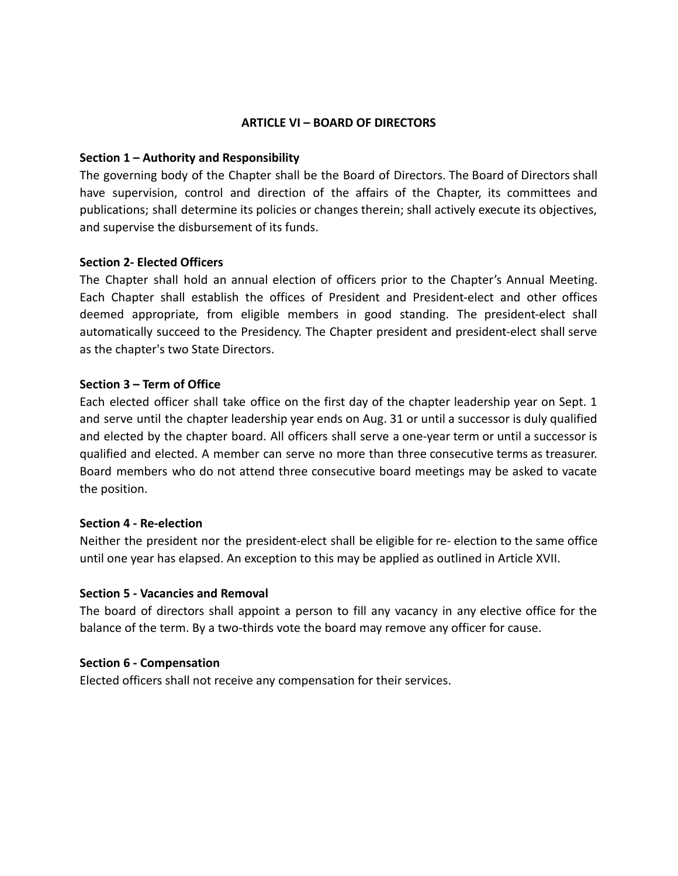#### **ARTICLE VI – BOARD OF DIRECTORS**

#### **Section 1 – Authority and Responsibility**

The governing body of the Chapter shall be the Board of Directors. The Board of Directors shall have supervision, control and direction of the affairs of the Chapter, its committees and publications; shall determine its policies or changes therein; shall actively execute its objectives, and supervise the disbursement of its funds.

#### **Section 2- Elected Officers**

The Chapter shall hold an annual election of officers prior to the Chapter's Annual Meeting. Each Chapter shall establish the offices of President and President-elect and other offices deemed appropriate, from eligible members in good standing. The president-elect shall automatically succeed to the Presidency. The Chapter president and president-elect shall serve as the chapter's two State Directors.

#### **Section 3 – Term of Office**

Each elected officer shall take office on the first day of the chapter leadership year on Sept. 1 and serve until the chapter leadership year ends on Aug. 31 or until a successor is duly qualified and elected by the chapter board. All officers shall serve a one-year term or until a successor is qualified and elected. A member can serve no more than three consecutive terms as treasurer. Board members who do not attend three consecutive board meetings may be asked to vacate the position.

#### **Section 4 - Re-election**

Neither the president nor the president-elect shall be eligible for re- election to the same office until one year has elapsed. An exception to this may be applied as outlined in Article XVII.

#### **Section 5 - Vacancies and Removal**

The board of directors shall appoint a person to fill any vacancy in any elective office for the balance of the term. By a two-thirds vote the board may remove any officer for cause.

#### **Section 6 - Compensation**

Elected officers shall not receive any compensation for their services.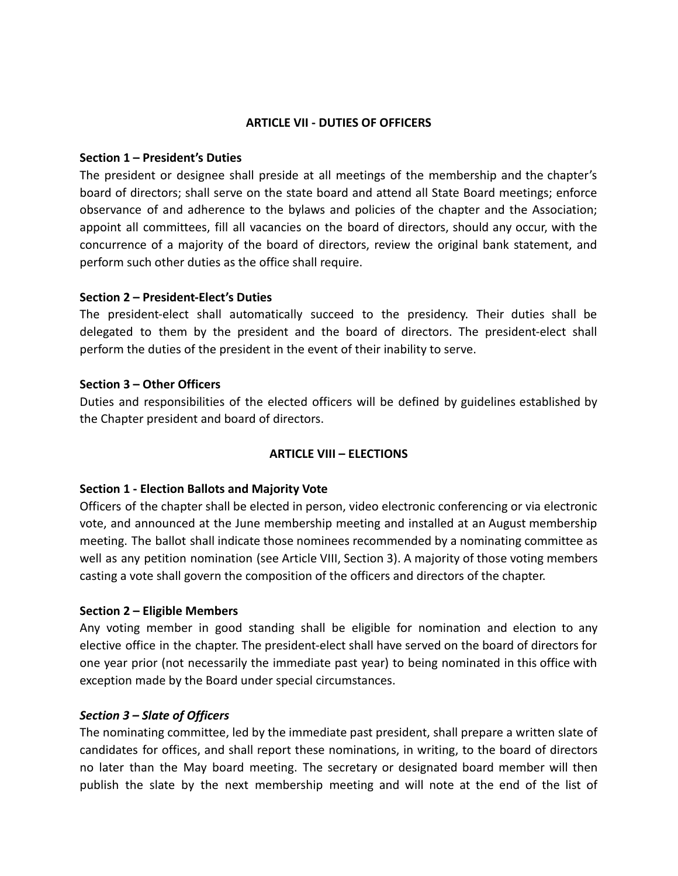#### **ARTICLE VII - DUTIES OF OFFICERS**

## **Section 1 – President's Duties**

The president or designee shall preside at all meetings of the membership and the chapter's board of directors; shall serve on the state board and attend all State Board meetings; enforce observance of and adherence to the bylaws and policies of the chapter and the Association; appoint all committees, fill all vacancies on the board of directors, should any occur, with the concurrence of a majority of the board of directors, review the original bank statement, and perform such other duties as the office shall require.

#### **Section 2 – President-Elect's Duties**

The president-elect shall automatically succeed to the presidency. Their duties shall be delegated to them by the president and the board of directors. The president-elect shall perform the duties of the president in the event of their inability to serve.

#### **Section 3 – Other Officers**

Duties and responsibilities of the elected officers will be defined by guidelines established by the Chapter president and board of directors.

## **ARTICLE VIII – ELECTIONS**

## **Section 1 - Election Ballots and Majority Vote**

Officers of the chapter shall be elected in person, video electronic conferencing or via electronic vote, and announced at the June membership meeting and installed at an August membership meeting. The ballot shall indicate those nominees recommended by a nominating committee as well as any petition nomination (see Article VIII, Section 3). A majority of those voting members casting a vote shall govern the composition of the officers and directors of the chapter.

#### **Section 2 – Eligible Members**

Any voting member in good standing shall be eligible for nomination and election to any elective office in the chapter. The president-elect shall have served on the board of directors for one year prior (not necessarily the immediate past year) to being nominated in this office with exception made by the Board under special circumstances.

## *Section 3 – Slate of Officers*

The nominating committee, led by the immediate past president, shall prepare a written slate of candidates for offices, and shall report these nominations, in writing, to the board of directors no later than the May board meeting. The secretary or designated board member will then publish the slate by the next membership meeting and will note at the end of the list of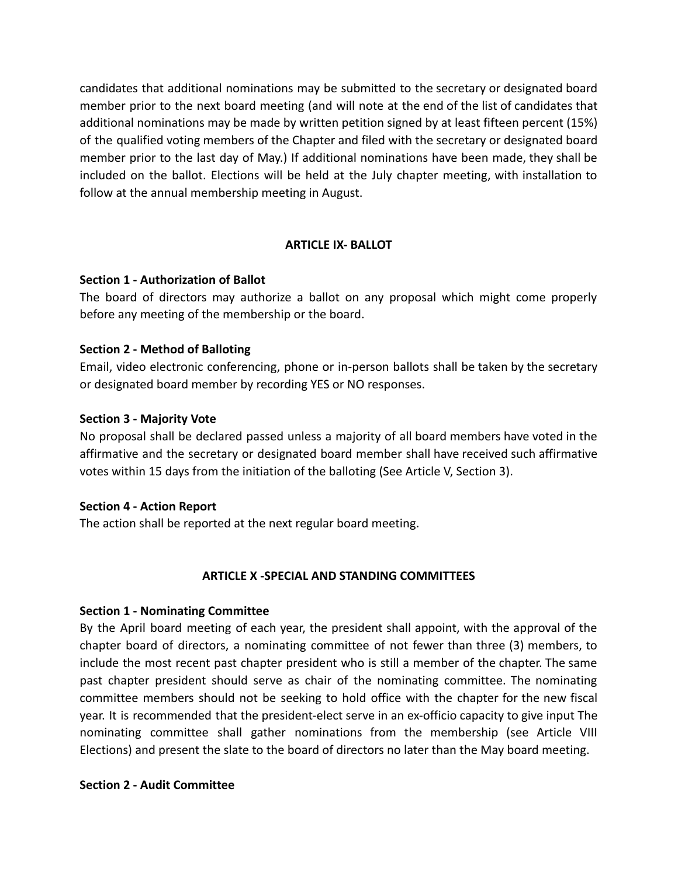candidates that additional nominations may be submitted to the secretary or designated board member prior to the next board meeting (and will note at the end of the list of candidates that additional nominations may be made by written petition signed by at least fifteen percent (15%) of the qualified voting members of the Chapter and filed with the secretary or designated board member prior to the last day of May.) If additional nominations have been made, they shall be included on the ballot. Elections will be held at the July chapter meeting, with installation to follow at the annual membership meeting in August.

## **ARTICLE IX- BALLOT**

## **Section 1 - Authorization of Ballot**

The board of directors may authorize a ballot on any proposal which might come properly before any meeting of the membership or the board.

#### **Section 2 - Method of Balloting**

Email, video electronic conferencing, phone or in-person ballots shall be taken by the secretary or designated board member by recording YES or NO responses.

#### **Section 3 - Majority Vote**

No proposal shall be declared passed unless a majority of all board members have voted in the affirmative and the secretary or designated board member shall have received such affirmative votes within 15 days from the initiation of the balloting (See Article V, Section 3).

#### **Section 4 - Action Report**

The action shall be reported at the next regular board meeting.

## **ARTICLE X -SPECIAL AND STANDING COMMITTEES**

#### **Section 1 - Nominating Committee**

By the April board meeting of each year, the president shall appoint, with the approval of the chapter board of directors, a nominating committee of not fewer than three (3) members, to include the most recent past chapter president who is still a member of the chapter. The same past chapter president should serve as chair of the nominating committee. The nominating committee members should not be seeking to hold office with the chapter for the new fiscal year. It is recommended that the president-elect serve in an ex-officio capacity to give input The nominating committee shall gather nominations from the membership (see Article VIII Elections) and present the slate to the board of directors no later than the May board meeting.

#### **Section 2 - Audit Committee**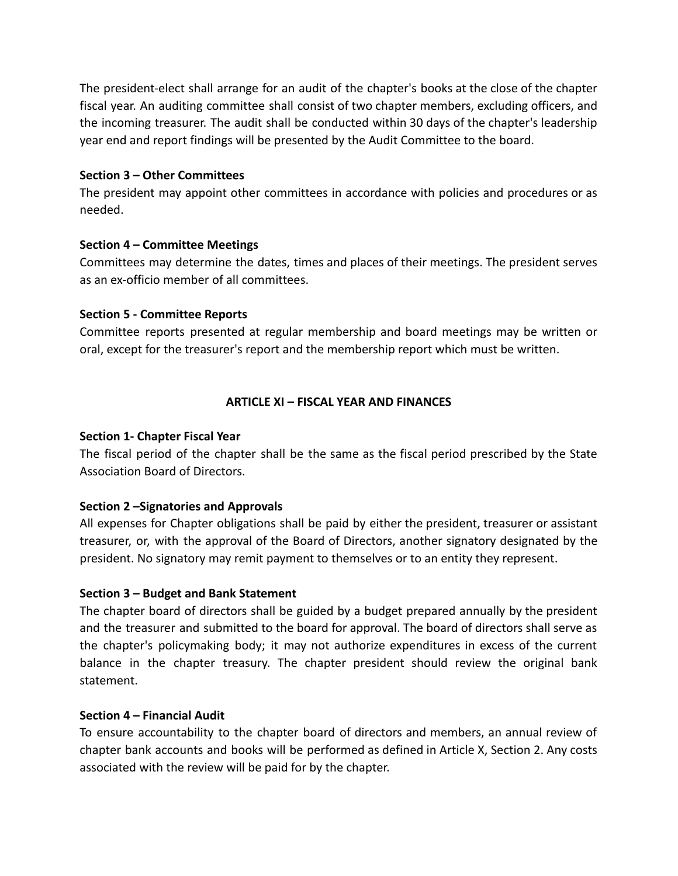The president-elect shall arrange for an audit of the chapter's books at the close of the chapter fiscal year. An auditing committee shall consist of two chapter members, excluding officers, and the incoming treasurer. The audit shall be conducted within 30 days of the chapter's leadership year end and report findings will be presented by the Audit Committee to the board.

## **Section 3 – Other Committees**

The president may appoint other committees in accordance with policies and procedures or as needed.

## **Section 4 – Committee Meetings**

Committees may determine the dates, times and places of their meetings. The president serves as an ex-officio member of all committees.

## **Section 5 - Committee Reports**

Committee reports presented at regular membership and board meetings may be written or oral, except for the treasurer's report and the membership report which must be written.

# **ARTICLE XI – FISCAL YEAR AND FINANCES**

# **Section 1- Chapter Fiscal Year**

The fiscal period of the chapter shall be the same as the fiscal period prescribed by the State Association Board of Directors.

# **Section 2 –Signatories and Approvals**

All expenses for Chapter obligations shall be paid by either the president, treasurer or assistant treasurer, or, with the approval of the Board of Directors, another signatory designated by the president. No signatory may remit payment to themselves or to an entity they represent.

# **Section 3 – Budget and Bank Statement**

The chapter board of directors shall be guided by a budget prepared annually by the president and the treasurer and submitted to the board for approval. The board of directors shall serve as the chapter's policymaking body; it may not authorize expenditures in excess of the current balance in the chapter treasury. The chapter president should review the original bank statement.

## **Section 4 – Financial Audit**

To ensure accountability to the chapter board of directors and members, an annual review of chapter bank accounts and books will be performed as defined in Article X, Section 2. Any costs associated with the review will be paid for by the chapter.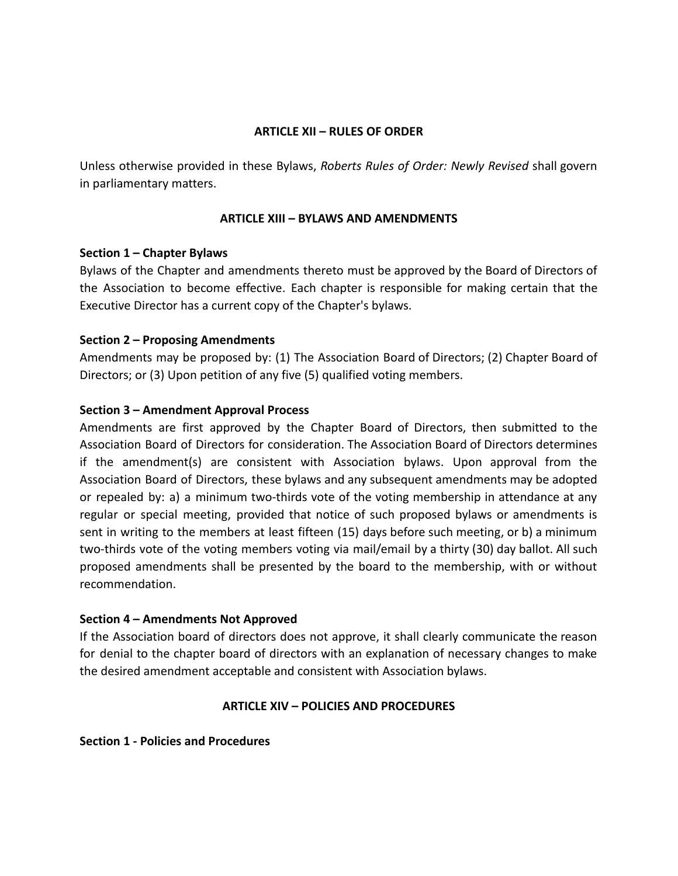# **ARTICLE XII – RULES OF ORDER**

Unless otherwise provided in these Bylaws, *Roberts Rules of Order: Newly Revised* shall govern in parliamentary matters.

## **ARTICLE XIII – BYLAWS AND AMENDMENTS**

## **Section 1 – Chapter Bylaws**

Bylaws of the Chapter and amendments thereto must be approved by the Board of Directors of the Association to become effective. Each chapter is responsible for making certain that the Executive Director has a current copy of the Chapter's bylaws.

## **Section 2 – Proposing Amendments**

Amendments may be proposed by: (1) The Association Board of Directors; (2) Chapter Board of Directors; or (3) Upon petition of any five (5) qualified voting members.

## **Section 3 – Amendment Approval Process**

Amendments are first approved by the Chapter Board of Directors, then submitted to the Association Board of Directors for consideration. The Association Board of Directors determines if the amendment(s) are consistent with Association bylaws. Upon approval from the Association Board of Directors, these bylaws and any subsequent amendments may be adopted or repealed by: a) a minimum two-thirds vote of the voting membership in attendance at any regular or special meeting, provided that notice of such proposed bylaws or amendments is sent in writing to the members at least fifteen (15) days before such meeting, or b) a minimum two-thirds vote of the voting members voting via mail/email by a thirty (30) day ballot. All such proposed amendments shall be presented by the board to the membership, with or without recommendation.

## **Section 4 – Amendments Not Approved**

If the Association board of directors does not approve, it shall clearly communicate the reason for denial to the chapter board of directors with an explanation of necessary changes to make the desired amendment acceptable and consistent with Association bylaws.

# **ARTICLE XIV – POLICIES AND PROCEDURES**

## **Section 1 - Policies and Procedures**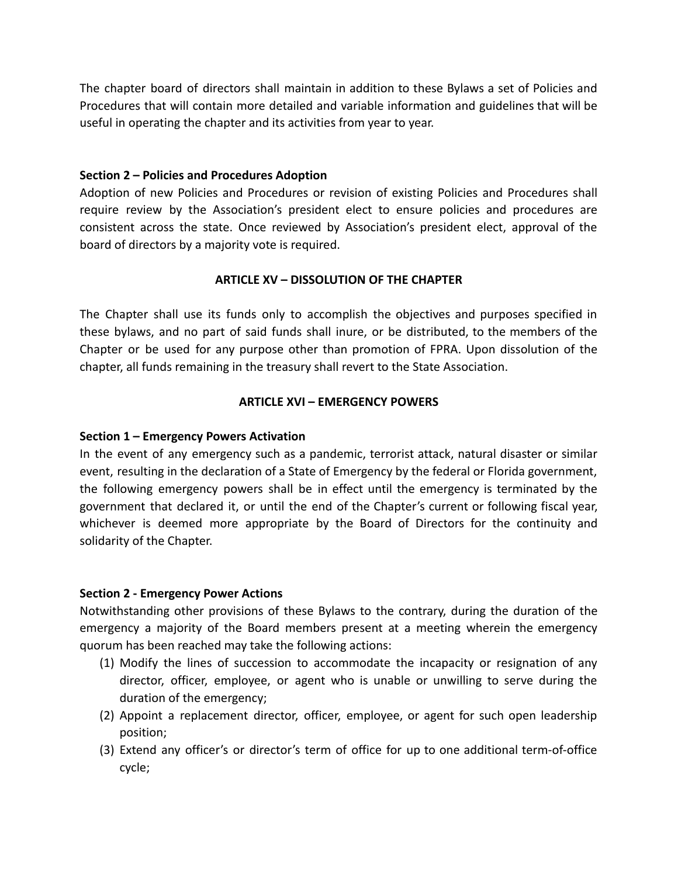The chapter board of directors shall maintain in addition to these Bylaws a set of Policies and Procedures that will contain more detailed and variable information and guidelines that will be useful in operating the chapter and its activities from year to year.

## **Section 2 – Policies and Procedures Adoption**

Adoption of new Policies and Procedures or revision of existing Policies and Procedures shall require review by the Association's president elect to ensure policies and procedures are consistent across the state. Once reviewed by Association's president elect, approval of the board of directors by a majority vote is required.

# **ARTICLE XV – DISSOLUTION OF THE CHAPTER**

The Chapter shall use its funds only to accomplish the objectives and purposes specified in these bylaws, and no part of said funds shall inure, or be distributed, to the members of the Chapter or be used for any purpose other than promotion of FPRA. Upon dissolution of the chapter, all funds remaining in the treasury shall revert to the State Association.

# **ARTICLE XVI – EMERGENCY POWERS**

# **Section 1 – Emergency Powers Activation**

In the event of any emergency such as a pandemic, terrorist attack, natural disaster or similar event, resulting in the declaration of a State of Emergency by the federal or Florida government, the following emergency powers shall be in effect until the emergency is terminated by the government that declared it, or until the end of the Chapter's current or following fiscal year, whichever is deemed more appropriate by the Board of Directors for the continuity and solidarity of the Chapter.

## **Section 2 - Emergency Power Actions**

Notwithstanding other provisions of these Bylaws to the contrary, during the duration of the emergency a majority of the Board members present at a meeting wherein the emergency quorum has been reached may take the following actions:

- (1) Modify the lines of succession to accommodate the incapacity or resignation of any director, officer, employee, or agent who is unable or unwilling to serve during the duration of the emergency;
- (2) Appoint a replacement director, officer, employee, or agent for such open leadership position;
- (3) Extend any officer's or director's term of office for up to one additional term-of-office cycle;